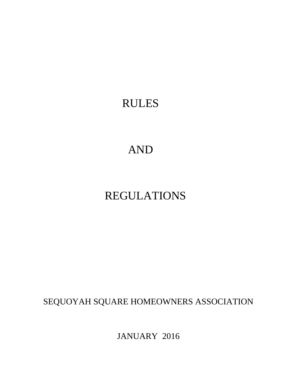# RULES

# AND

# REGULATIONS

SEQUOYAH SQUARE HOMEOWNERS ASSOCIATION

JANUARY 2016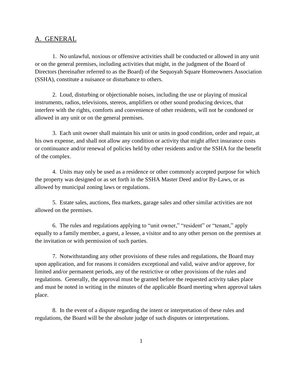### A. GENERAL

1. No unlawful, noxious or offensive activities shall be conducted or allowed in any unit or on the general premises, including activities that might, in the judgment of the Board of Directors (hereinafter referred to as the Board) of the Sequoyah Square Homeowners Association (SSHA), constitute a nuisance or disturbance to others.

2. Loud, disturbing or objectionable noises, including the use or playing of musical instruments, radios, televisions, stereos, amplifiers or other sound producing devices, that interfere with the rights, comforts and convenience of other residents, will not be condoned or allowed in any unit or on the general premises.

3. Each unit owner shall maintain his unit or units in good condition, order and repair, at his own expense, and shall not allow any condition or activity that might affect insurance costs or continuance and/or renewal of policies held by other residents and/or the SSHA for the benefit of the complex.

4. Units may only be used as a residence or other commonly accepted purpose for which the property was designed or as set forth in the SSHA Master Deed and/or By-Laws, or as allowed by municipal zoning laws or regulations.

5. Estate sales, auctions, flea markets, garage sales and other similar activities are not allowed on the premises.

6. The rules and regulations applying to "unit owner," "resident" or "tenant," apply equally to a family member, a guest, a lessee, a visitor and to any other person on the premises at the invitation or with permission of such parties.

7. Notwithstanding any other provisions of these rules and regulations, the Board may upon application, and for reasons it considers exceptional and valid, waive and/or approve, for limited and/or permanent periods, any of the restrictive or other provisions of the rules and regulations. Generally, the approval must be granted before the requested activity takes place and must be noted in writing in the minutes of the applicable Board meeting when approval takes place.

8. In the event of a dispute regarding the intent or interpretation of these rules and regulations, the Board will be the absolute judge of such disputes or interpretations.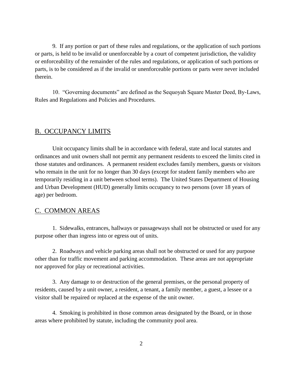9. If any portion or part of these rules and regulations, or the application of such portions or parts, is held to be invalid or unenforceable by a court of competent jurisdiction, the validity or enforceability of the remainder of the rules and regulations, or application of such portions or parts, is to be considered as if the invalid or unenforceable portions or parts were never included therein.

10. "Governing documents" are defined as the Sequoyah Square Master Deed, By-Laws, Rules and Regulations and Policies and Procedures.

## B. OCCUPANCY LIMITS

Unit occupancy limits shall be in accordance with federal, state and local statutes and ordinances and unit owners shall not permit any permanent residents to exceed the limits cited in those statutes and ordinances. A permanent resident excludes family members, guests or visitors who remain in the unit for no longer than 30 days (except for student family members who are temporarily residing in a unit between school terms). The United States Department of Housing and Urban Development (HUD) generally limits occupancy to two persons (over 18 years of age) per bedroom.

#### C. COMMON AREAS

1. Sidewalks, entrances, hallways or passageways shall not be obstructed or used for any purpose other than ingress into or egress out of units.

2. Roadways and vehicle parking areas shall not be obstructed or used for any purpose other than for traffic movement and parking accommodation. These areas are not appropriate nor approved for play or recreational activities.

3. Any damage to or destruction of the general premises, or the personal property of residents, caused by a unit owner, a resident, a tenant, a family member, a guest, a lessee or a visitor shall be repaired or replaced at the expense of the unit owner.

4. Smoking is prohibited in those common areas designated by the Board, or in those areas where prohibited by statute, including the community pool area.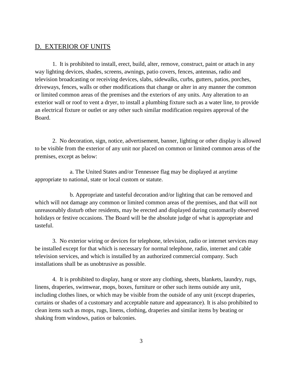## D. EXTERIOR OF UNITS

1. It is prohibited to install, erect, build, alter, remove, construct, paint or attach in any way lighting devices, shades, screens, awnings, patio covers, fences, antennas, radio and television broadcasting or receiving devices, slabs, sidewalks, curbs, gutters, patios, porches, driveways, fences, walls or other modifications that change or alter in any manner the common or limited common areas of the premises and the exteriors of any units. Any alteration to an exterior wall or roof to vent a dryer, to install a plumbing fixture such as a water line, to provide an electrical fixture or outlet or any other such similar modification requires approval of the Board.

2. No decoration, sign, notice, advertisement, banner, lighting or other display is allowed to be visible from the exterior of any unit nor placed on common or limited common areas of the premises, except as below:

a. The United States and/or Tennessee flag may be displayed at anytime appropriate to national, state or local custom or statute.

b. Appropriate and tasteful decoration and/or lighting that can be removed and which will not damage any common or limited common areas of the premises, and that will not unreasonably disturb other residents, may be erected and displayed during customarily observed holidays or festive occasions. The Board will be the absolute judge of what is appropriate and tasteful.

3. No exterior wiring or devices for telephone, television, radio or internet services may be installed except for that which is necessary for normal telephone, radio, internet and cable television services, and which is installed by an authorized commercial company. Such installations shall be as unobtrusive as possible.

4. It is prohibited to display, hang or store any clothing, sheets, blankets, laundry, rugs, linens, draperies, swimwear, mops, boxes, furniture or other such items outside any unit, including clothes lines, or which may be visible from the outside of any unit (except draperies, curtains or shades of a customary and acceptable nature and appearance). It is also prohibited to clean items such as mops, rugs, linens, clothing, draperies and similar items by beating or shaking from windows, patios or balconies.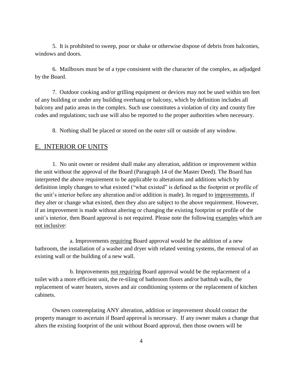5. It is prohibited to sweep, pour or shake or otherwise dispose of debris from balconies, windows and doors.

6. Mailboxes must be of a type consistent with the character of the complex, as adjudged by the Board.

7. Outdoor cooking and/or grilling equipment or devices may not be used within ten feet of any building or under any building overhang or balcony, which by definition includes all balcony and patio areas in the complex. Such use constitutes a violation of city and county fire codes and regulations; such use will also be reported to the proper authorities when necessary.

8. Nothing shall be placed or stored on the outer sill or outside of any window.

### E. INTERIOR OF UNITS

1. No unit owner or resident shall make any alteration, addition or improvement within the unit without the approval of the Board (Paragraph 14 of the Master Deed). The Board has interpreted the above requirement to be applicable to alterations and additions which by definition imply changes to what existed ("what existed" is defined as the footprint or profile of the unit's interior before any alteration and/or addition is made). In regard to improvements, if they alter or change what existed, then they also are subject to the above requirement. However, if an improvement is made without altering or changing the existing footprint or profile of the unit's interior, then Board approval is not required. Please note the following examples which are not inclusive:

a. Improvements requiring Board approval would be the addition of a new bathroom, the installation of a washer and dryer with related venting systems, the removal of an existing wall or the building of a new wall.

b. Improvements not requiring Board approval would be the replacement of a toilet with a more efficient unit, the re-tiling of bathroom floors and/or bathtub walls, the replacement of water heaters, stoves and air conditioning systems or the replacement of kitchen cabinets.

Owners contemplating ANY alteration, addition or improvement should contact the property manager to ascertain if Board approval is necessary. If any owner makes a change that alters the existing footprint of the unit without Board approval, then those owners will be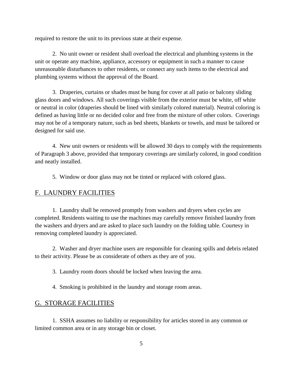required to restore the unit to its previous state at their expense.

2. No unit owner or resident shall overload the electrical and plumbing systems in the unit or operate any machine, appliance, accessory or equipment in such a manner to cause unreasonable disturbances to other residents, or connect any such items to the electrical and plumbing systems without the approval of the Board.

3. Draperies, curtains or shades must be hung for cover at all patio or balcony sliding glass doors and windows. All such coverings visible from the exterior must be white, off white or neutral in color (draperies should be lined with similarly colored material). Neutral coloring is defined as having little or no decided color and free from the mixture of other colors. Coverings may not be of a temporary nature, such as bed sheets, blankets or towels, and must be tailored or designed for said use.

4. New unit owners or residents will be allowed 30 days to comply with the requirements of Paragraph 3 above, provided that temporary coverings are similarly colored, in good condition and neatly installed.

5. Window or door glass may not be tinted or replaced with colored glass.

### F. LAUNDRY FACILITIES

1. Laundry shall be removed promptly from washers and dryers when cycles are completed. Residents waiting to use the machines may carefully remove finished laundry from the washers and dryers and are asked to place such laundry on the folding table. Courtesy in removing completed laundry is appreciated.

2. Washer and dryer machine users are responsible for cleaning spills and debris related to their activity. Please be as considerate of others as they are of you.

3. Laundry room doors should be locked when leaving the area.

4. Smoking is prohibited in the laundry and storage room areas.

## G. STORAGE FACILITIES

1. SSHA assumes no liability or responsibility for articles stored in any common or limited common area or in any storage bin or closet.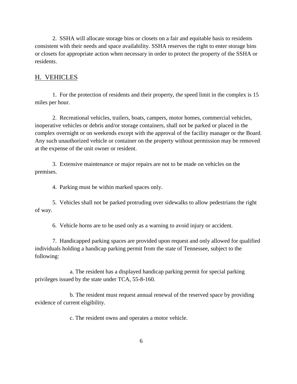2. SSHA will allocate storage bins or closets on a fair and equitable basis to residents consistent with their needs and space availability. SSHA reserves the right to enter storage bins or closets for appropriate action when necessary in order to protect the property of the SSHA or residents.

## H. VEHICLES

1. For the protection of residents and their property, the speed limit in the complex is 15 miles per hour.

2. Recreational vehicles, trailers, boats, campers, motor homes, commercial vehicles, inoperative vehicles or debris and/or storage containers, shall not be parked or placed in the complex overnight or on weekends except with the approval of the facility manager or the Board. Any such unauthorized vehicle or container on the property without permission may be removed at the expense of the unit owner or resident.

3. Extensive maintenance or major repairs are not to be made on vehicles on the premises.

4. Parking must be within marked spaces only.

5. Vehicles shall not be parked protruding over sidewalks to allow pedestrians the right of way.

6. Vehicle horns are to be used only as a warning to avoid injury or accident.

7. Handicapped parking spaces are provided upon request and only allowed for qualified individuals holding a handicap parking permit from the state of Tennessee, subject to the following:

a. The resident has a displayed handicap parking permit for special parking privileges issued by the state under TCA, 55-8-160.

b. The resident must request annual renewal of the reserved space by providing evidence of current eligibility.

c. The resident owns and operates a motor vehicle.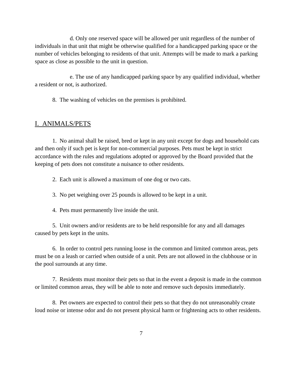d. Only one reserved space will be allowed per unit regardless of the number of individuals in that unit that might be otherwise qualified for a handicapped parking space or the number of vehicles belonging to residents of that unit. Attempts will be made to mark a parking space as close as possible to the unit in question.

e. The use of any handicapped parking space by any qualified individual, whether a resident or not, is authorized.

8. The washing of vehicles on the premises is prohibited.

### I. ANIMALS/PETS

1. No animal shall be raised, bred or kept in any unit except for dogs and household cats and then only if such pet is kept for non-commercial purposes. Pets must be kept in strict accordance with the rules and regulations adopted or approved by the Board provided that the keeping of pets does not constitute a nuisance to other residents.

2. Each unit is allowed a maximum of one dog or two cats.

3. No pet weighing over 25 pounds is allowed to be kept in a unit.

4. Pets must permanently live inside the unit.

5. Unit owners and/or residents are to be held responsible for any and all damages caused by pets kept in the units.

6. In order to control pets running loose in the common and limited common areas, pets must be on a leash or carried when outside of a unit. Pets are not allowed in the clubhouse or in the pool surrounds at any time.

7. Residents must monitor their pets so that in the event a deposit is made in the common or limited common areas, they will be able to note and remove such deposits immediately.

8. Pet owners are expected to control their pets so that they do not unreasonably create loud noise or intense odor and do not present physical harm or frightening acts to other residents.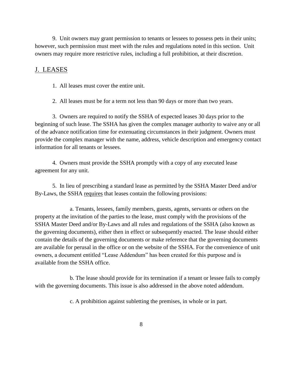9. Unit owners may grant permission to tenants or lessees to possess pets in their units; however, such permission must meet with the rules and regulations noted in this section. Unit owners may require more restrictive rules, including a full prohibition, at their discretion.

## J. LEASES

1. All leases must cover the entire unit.

2. All leases must be for a term not less than 90 days or more than two years.

3. Owners are required to notify the SSHA of expected leases 30 days prior to the beginning of such lease. The SSHA has given the complex manager authority to waive any or all of the advance notification time for extenuating circumstances in their judgment. Owners must provide the complex manager with the name, address, vehicle description and emergency contact information for all tenants or lessees.

4. Owners must provide the SSHA promptly with a copy of any executed lease agreement for any unit.

5. In lieu of prescribing a standard lease as permitted by the SSHA Master Deed and/or By-Laws, the SSHA requires that leases contain the following provisions:

a. Tenants, lessees, family members, guests, agents, servants or others on the property at the invitation of the parties to the lease, must comply with the provisions of the SSHA Master Deed and/or By-Laws and all rules and regulations of the SSHA (also known as the governing documents), either then in effect or subsequently enacted. The lease should either contain the details of the governing documents or make reference that the governing documents are available for perusal in the office or on the website of the SSHA. For the convenience of unit owners, a document entitled "Lease Addendum" has been created for this purpose and is available from the SSHA office.

b. The lease should provide for its termination if a tenant or lessee fails to comply with the governing documents. This issue is also addressed in the above noted addendum.

c. A prohibition against subletting the premises, in whole or in part.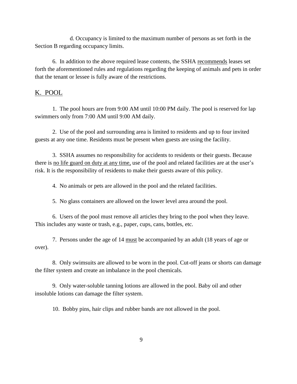d. Occupancy is limited to the maximum number of persons as set forth in the Section B regarding occupancy limits.

6. In addition to the above required lease contents, the SSHA recommends leases set forth the aforementioned rules and regulations regarding the keeping of animals and pets in order that the tenant or lessee is fully aware of the restrictions.

## K. POOL

1. The pool hours are from 9:00 AM until 10:00 PM daily. The pool is reserved for lap swimmers only from 7:00 AM until 9:00 AM daily.

2. Use of the pool and surrounding area is limited to residents and up to four invited guests at any one time. Residents must be present when guests are using the facility.

3. SSHA assumes no responsibility for accidents to residents or their guests. Because there is no life guard on duty at any time, use of the pool and related facilities are at the user's risk. It is the responsibility of residents to make their guests aware of this policy.

4. No animals or pets are allowed in the pool and the related facilities.

5. No glass containers are allowed on the lower level area around the pool.

6. Users of the pool must remove all articles they bring to the pool when they leave. This includes any waste or trash, e.g., paper, cups, cans, bottles, etc.

7. Persons under the age of 14 must be accompanied by an adult (18 years of age or over).

8. Only swimsuits are allowed to be worn in the pool. Cut-off jeans or shorts can damage the filter system and create an imbalance in the pool chemicals.

9. Only water-soluble tanning lotions are allowed in the pool. Baby oil and other insoluble lotions can damage the filter system.

10. Bobby pins, hair clips and rubber bands are not allowed in the pool.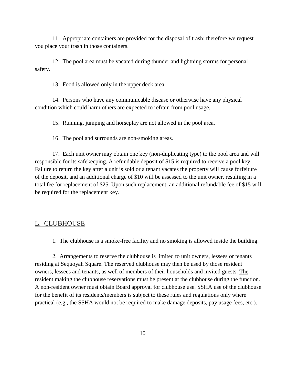11. Appropriate containers are provided for the disposal of trash; therefore we request you place your trash in those containers.

12. The pool area must be vacated during thunder and lightning storms for personal safety.

13. Food is allowed only in the upper deck area.

14. Persons who have any communicable disease or otherwise have any physical condition which could harm others are expected to refrain from pool usage.

15. Running, jumping and horseplay are not allowed in the pool area.

16. The pool and surrounds are non-smoking areas.

17. Each unit owner may obtain one key (non-duplicating type) to the pool area and will responsible for its safekeeping. A refundable deposit of \$15 is required to receive a pool key. Failure to return the key after a unit is sold or a tenant vacates the property will cause forfeiture of the deposit, and an additional charge of \$10 will be assessed to the unit owner, resulting in a total fee for replacement of \$25. Upon such replacement, an additional refundable fee of \$15 will be required for the replacement key.

#### L. CLUBHOUSE

1. The clubhouse is a smoke-free facility and no smoking is allowed inside the building.

2. Arrangements to reserve the clubhouse is limited to unit owners, lessees or tenants residing at Sequoyah Square. The reserved clubhouse may then be used by those resident owners, lessees and tenants, as well of members of their households and invited guests. The resident making the clubhouse reservations must be present at the clubhouse during the function. A non-resident owner must obtain Board approval for clubhouse use. SSHA use of the clubhouse for the benefit of its residents/members is subject to these rules and regulations only where practical (e.g., the SSHA would not be required to make damage deposits, pay usage fees, etc.).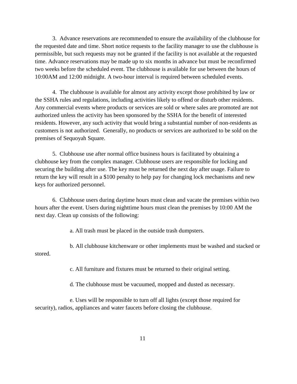3. Advance reservations are recommended to ensure the availability of the clubhouse for the requested date and time. Short notice requests to the facility manager to use the clubhouse is permissible, but such requests may not be granted if the facility is not available at the requested time. Advance reservations may be made up to six months in advance but must be reconfirmed two weeks before the scheduled event. The clubhouse is available for use between the hours of 10:00AM and 12:00 midnight. A two-hour interval is required between scheduled events.

4. The clubhouse is available for almost any activity except those prohibited by law or the SSHA rules and regulations, including activities likely to offend or disturb other residents. Any commercial events where products or services are sold or where sales are promoted are not authorized unless the activity has been sponsored by the SSHA for the benefit of interested residents. However, any such activity that would bring a substantial number of non-residents as customers is not authorized. Generally, no products or services are authorized to be sold on the premises of Sequoyah Square.

5. Clubhouse use after normal office business hours is facilitated by obtaining a clubhouse key from the complex manager. Clubhouse users are responsible for locking and securing the building after use. The key must be returned the next day after usage. Failure to return the key will result in a \$100 penalty to help pay for changing lock mechanisms and new keys for authorized personnel.

6. Clubhouse users during daytime hours must clean and vacate the premises within two hours after the event. Users during nighttime hours must clean the premises by 10:00 AM the next day. Clean up consists of the following:

a. All trash must be placed in the outside trash dumpsters.

b. All clubhouse kitchenware or other implements must be washed and stacked or stored.

c. All furniture and fixtures must be returned to their original setting.

d. The clubhouse must be vacuumed, mopped and dusted as necessary.

e. Uses will be responsible to turn off all lights (except those required for security), radios, appliances and water faucets before closing the clubhouse.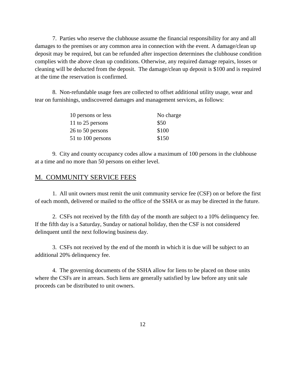7. Parties who reserve the clubhouse assume the financial responsibility for any and all damages to the premises or any common area in connection with the event. A damage/clean up deposit may be required, but can be refunded after inspection determines the clubhouse condition complies with the above clean up conditions. Otherwise, any required damage repairs, losses or cleaning will be deducted from the deposit. The damage/clean up deposit is \$100 and is required at the time the reservation is confirmed.

8. Non-refundable usage fees are collected to offset additional utility usage, wear and tear on furnishings, undiscovered damages and management services, as follows:

| 10 persons or less | No charge |
|--------------------|-----------|
| 11 to 25 persons   | \$50      |
| 26 to 50 persons   | \$100     |
| 51 to 100 persons  | \$150     |

9. City and county occupancy codes allow a maximum of 100 persons in the clubhouse at a time and no more than 50 persons on either level.

## M. COMMUNITY SERVICE FEES

1. All unit owners must remit the unit community service fee (CSF) on or before the first of each month, delivered or mailed to the office of the SSHA or as may be directed in the future.

2. CSFs not received by the fifth day of the month are subject to a 10% delinquency fee. If the fifth day is a Saturday, Sunday or national holiday, then the CSF is not considered delinquent until the next following business day.

3. CSFs not received by the end of the month in which it is due will be subject to an additional 20% delinquency fee.

4. The governing documents of the SSHA allow for liens to be placed on those units where the CSFs are in arrears. Such liens are generally satisfied by law before any unit sale proceeds can be distributed to unit owners.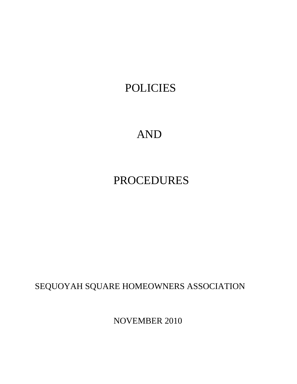# POLICIES

# AND

# PROCEDURES

SEQUOYAH SQUARE HOMEOWNERS ASSOCIATION

NOVEMBER 2010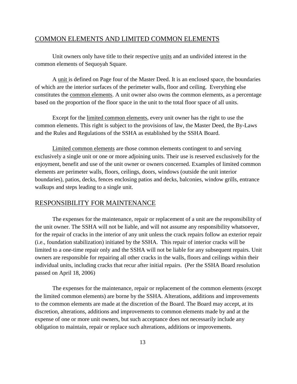#### COMMON ELEMENTS AND LIMITED COMMON ELEMENTS

Unit owners only have title to their respective units and an undivided interest in the common elements of Sequoyah Square.

A unit is defined on Page four of the Master Deed. It is an enclosed space, the boundaries of which are the interior surfaces of the perimeter walls, floor and ceiling. Everything else constitutes the common elements. A unit owner also owns the common elements, as a percentage based on the proportion of the floor space in the unit to the total floor space of all units.

Except for the limited common elements, every unit owner has the right to use the common elements. This right is subject to the provisions of law, the Master Deed, the By-Laws and the Rules and Regulations of the SSHA as established by the SSHA Board.

Limited common elements are those common elements contingent to and serving exclusively a single unit or one or more adjoining units. Their use is reserved exclusively for the enjoyment, benefit and use of the unit owner or owners concerned. Examples of limited common elements are perimeter walls, floors, ceilings, doors, windows (outside the unit interior boundaries), patios, decks, fences enclosing patios and decks, balconies, window grills, entrance walkups and steps leading to a single unit.

#### RESPONSIBILITY FOR MAINTENANCE

The expenses for the maintenance, repair or replacement of a unit are the responsibility of the unit owner. The SSHA will not be liable, and will not assume any responsibility whatsoever, for the repair of cracks in the interior of any unit unless the crack repairs follow an exterior repair (i.e., foundation stabilization) initiated by the SSHA. This repair of interior cracks will be limited to a one-time repair only and the SSHA will not be liable for any subsequent repairs. Unit owners are responsible for repairing all other cracks in the walls, floors and ceilings within their individual units, including cracks that recur after initial repairs. (Per the SSHA Board resolution passed on April 18, 2006)

The expenses for the maintenance, repair or replacement of the common elements (except the limited common elements) are borne by the SSHA. Alterations, additions and improvements to the common elements are made at the discretion of the Board. The Board may accept, at its discretion, alterations, additions and improvements to common elements made by and at the expense of one or more unit owners, but such acceptance does not necessarily include any obligation to maintain, repair or replace such alterations, additions or improvements.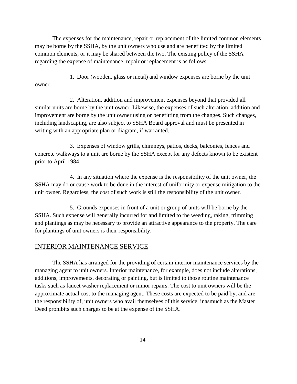The expenses for the maintenance, repair or replacement of the limited common elements may be borne by the SSHA, by the unit owners who use and are benefitted by the limited common elements, or it may be shared between the two. The existing policy of the SSHA regarding the expense of maintenance, repair or replacement is as follows:

1. Door (wooden, glass or metal) and window expenses are borne by the unit owner.

2. Alteration, addition and improvement expenses beyond that provided all similar units are borne by the unit owner. Likewise, the expenses of such alteration, addition and improvement are borne by the unit owner using or benefitting from the changes. Such changes, including landscaping, are also subject to SSHA Board approval and must be presented in writing with an appropriate plan or diagram, if warranted.

3. Expenses of window grills, chimneys, patios, decks, balconies, fences and concrete walkways to a unit are borne by the SSHA except for any defects known to be existent prior to April 1984.

4. In any situation where the expense is the responsibility of the unit owner, the SSHA may do or cause work to be done in the interest of uniformity or expense mitigation to the unit owner. Regardless, the cost of such work is still the responsibility of the unit owner.

5. Grounds expenses in front of a unit or group of units will be borne by the SSHA. Such expense will generally incurred for and limited to the weeding, raking, trimming and plantings as may be necessary to provide an attractive appearance to the property. The care for plantings of unit owners is their responsibility.

## INTERIOR MAINTENANCE SERVICE

The SSHA has arranged for the providing of certain interior maintenance services by the managing agent to unit owners. Interior maintenance, for example, does not include alterations, additions, improvements, decorating or painting, but is limited to those routine maintenance tasks such as faucet washer replacement or minor repairs. The cost to unit owners will be the approximate actual cost to the managing agent. These costs are expected to be paid by, and are the responsibility of, unit owners who avail themselves of this service, inasmuch as the Master Deed prohibits such charges to be at the expense of the SSHA.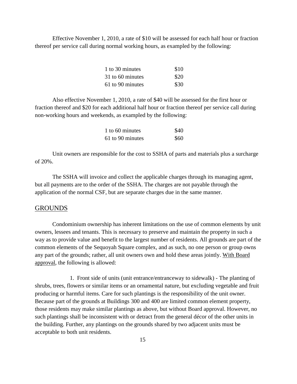Effective November 1, 2010, a rate of \$10 will be assessed for each half hour or fraction thereof per service call during normal working hours, as exampled by the following:

| 1 to 30 minutes  | \$10 |
|------------------|------|
| 31 to 60 minutes | \$20 |
| 61 to 90 minutes | \$30 |

Also effective November 1, 2010, a rate of \$40 will be assessed for the first hour or fraction thereof and \$20 for each additional half hour or fraction thereof per service call during non-working hours and weekends, as exampled by the following:

| 1 to 60 minutes  | \$40 |
|------------------|------|
| 61 to 90 minutes | \$60 |

Unit owners are responsible for the cost to SSHA of parts and materials plus a surcharge of 20%.

The SSHA will invoice and collect the applicable charges through its managing agent, but all payments are to the order of the SSHA. The charges are not payable through the application of the normal CSF, but are separate charges due in the same manner.

#### GROUNDS

Condominium ownership has inherent limitations on the use of common elements by unit owners, lessees and tenants. This is necessary to preserve and maintain the property in such a way as to provide value and benefit to the largest number of residents. All grounds are part of the common elements of the Sequoyah Square complex, and as such, no one person or group owns any part of the grounds; rather, all unit owners own and hold these areas jointly. With Board approval, the following is allowed:

1. Front side of units (unit entrance/entranceway to sidewalk) - The planting of shrubs, trees, flowers or similar items or an ornamental nature, but excluding vegetable and fruit producing or harmful items. Care for such plantings is the responsibility of the unit owner. Because part of the grounds at Buildings 300 and 400 are limited common element property, those residents may make similar plantings as above, but without Board approval. However, no such plantings shall be inconsistent with or detract from the general décor of the other units in the building. Further, any plantings on the grounds shared by two adjacent units must be acceptable to both unit residents.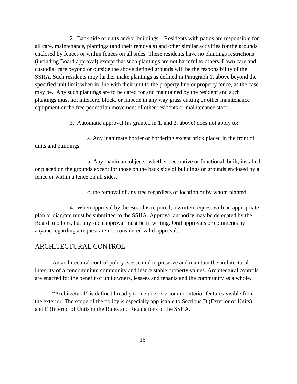2. Back side of units and/or buildings – Residents with patios are responsible for all care, maintenance, plantings (and their removals) and other similar activities for the grounds enclosed by fences or within fences on all sides. These residents have no plantings restrictions (including Board approval) except that such plantings are not harmful to others. Lawn care and custodial care beyond or outside the above defined grounds will be the responsibility of the SSHA. Such residents may further make plantings as defined in Paragraph 1. above beyond the specified unit limit when in line with their unit to the property line or property fence, as the case may be. Any such plantings are to be cared for and maintained by the resident and such plantings must not interfere, block, or impede in any way grass cutting or other maintenance equipment or the free pedestrian movement of other residents or maintenance staff.

3. Automatic approval (as granted in 1. and 2. above) does not apply to:

a. Any inanimate border or bordering except brick placed in the front of units and buildings.

b. Any inanimate objects, whether decorative or functional, built, installed or placed on the grounds except for those on the back side of buildings or grounds enclosed by a fence or within a fence on all sides.

c. the removal of any tree regardless of location or by whom planted.

4. When approval by the Board is required, a written request with an appropriate plan or diagram must be submitted to the SSHA. Approval authority may be delegated by the Board to others, but any such approval must be in writing. Oral approvals or comments by anyone regarding a request are not considered valid approval.

## ARCHITECTURAL CONTROL

An architectural control policy is essential to preserve and maintain the architectural integrity of a condominium community and insure stable property values. Architectural controls are enacted for the benefit of unit owners, lessees and tenants and the community as a whole.

"Architectural" is defined broadly to include exterior and interior features visible from the exterior. The scope of the policy is especially applicable to Sections D (Exterior of Units) and E (Interior of Units in the Rules and Regulations of the SSHA.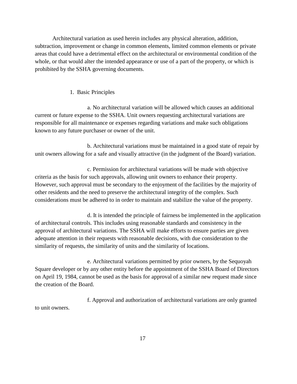Architectural variation as used herein includes any physical alteration, addition, subtraction, improvement or change in common elements, limited common elements or private areas that could have a detrimental effect on the architectural or environmental condition of the whole, or that would alter the intended appearance or use of a part of the property, or which is prohibited by the SSHA governing documents.

#### 1. Basic Principles

a. No architectural variation will be allowed which causes an additional current or future expense to the SSHA. Unit owners requesting architectural variations are responsible for all maintenance or expenses regarding variations and make such obligations known to any future purchaser or owner of the unit.

b. Architectural variations must be maintained in a good state of repair by unit owners allowing for a safe and visually attractive (in the judgment of the Board) variation.

c. Permission for architectural variations will be made with objective criteria as the basis for such approvals, allowing unit owners to enhance their property. However, such approval must be secondary to the enjoyment of the facilities by the majority of other residents and the need to preserve the architectural integrity of the complex. Such considerations must be adhered to in order to maintain and stabilize the value of the property.

d. It is intended the principle of fairness be implemented in the application of architectural controls. This includes using reasonable standards and consistency in the approval of architectural variations. The SSHA will make efforts to ensure parties are given adequate attention in their requests with reasonable decisions, with due consideration to the similarity of requests, the similarity of units and the similarity of locations.

e. Architectural variations permitted by prior owners, by the Sequoyah Square developer or by any other entity before the appointment of the SSHA Board of Directors on April 19, 1984, cannot be used as the basis for approval of a similar new request made since the creation of the Board.

f. Approval and authorization of architectural variations are only granted to unit owners.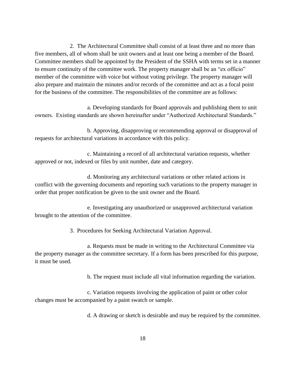2. The Architectural Committee shall consist of at least three and no more than five members, all of whom shall be unit owners and at least one being a member of the Board. Committee members shall be appointed by the President of the SSHA with terms set in a manner to ensure continuity of the committee work. The property manager shall be an "ex officio" member of the committee with voice but without voting privilege. The property manager will also prepare and maintain the minutes and/or records of the committee and act as a focal point for the business of the committee. The responsibilities of the committee are as follows:

a. Developing standards for Board approvals and publishing them to unit owners. Existing standards are shown hereinafter under "Authorized Architectural Standards."

b. Approving, disapproving or recommending approval or disapproval of requests for architectural variations in accordance with this policy.

c. Maintaining a record of all architectural variation requests, whether approved or not, indexed or files by unit number, date and category.

d. Monitoring any architectural variations or other related actions in conflict with the governing documents and reporting such variations to the property manager in order that proper notification be given to the unit owner and the Board.

e. Investigating any unauthorized or unapproved architectural variation brought to the attention of the committee.

3. Procedures for Seeking Architectural Variation Approval.

a. Requests must be made in writing to the Architectural Committee via the property manager as the committee secretary. If a form has been prescribed for this purpose, it must be used.

b. The request must include all vital information regarding the variation.

c. Variation requests involving the application of paint or other color changes must be accompanied by a paint swatch or sample.

d. A drawing or sketch is desirable and may be required by the committee.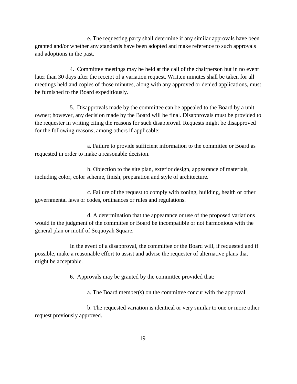e. The requesting party shall determine if any similar approvals have been granted and/or whether any standards have been adopted and make reference to such approvals and adoptions in the past.

4. Committee meetings may he held at the call of the chairperson but in no event later than 30 days after the receipt of a variation request. Written minutes shall be taken for all meetings held and copies of those minutes, along with any approved or denied applications, must be furnished to the Board expeditiously.

5. Disapprovals made by the committee can be appealed to the Board by a unit owner; however, any decision made by the Board will be final. Disapprovals must be provided to the requester in writing citing the reasons for such disapproval. Requests might be disapproved for the following reasons, among others if applicable:

a. Failure to provide sufficient information to the committee or Board as requested in order to make a reasonable decision.

b. Objection to the site plan, exterior design, appearance of materials, including color, color scheme, finish, preparation and style of architecture.

c. Failure of the request to comply with zoning, building, health or other governmental laws or codes, ordinances or rules and regulations.

d. A determination that the appearance or use of the proposed variations would in the judgment of the committee or Board be incompatible or not harmonious with the general plan or motif of Sequoyah Square.

In the event of a disapproval, the committee or the Board will, if requested and if possible, make a reasonable effort to assist and advise the requester of alternative plans that might be acceptable.

6. Approvals may be granted by the committee provided that:

a. The Board member(s) on the committee concur with the approval.

b. The requested variation is identical or very similar to one or more other request previously approved.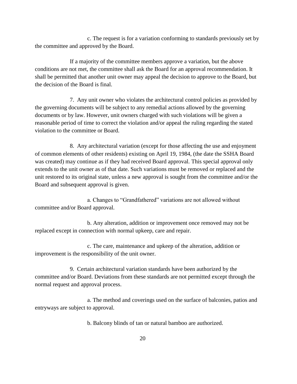c. The request is for a variation conforming to standards previously set by the committee and approved by the Board.

If a majority of the committee members approve a variation, but the above conditions are not met, the committee shall ask the Board for an approval recommendation. It shall be permitted that another unit owner may appeal the decision to approve to the Board, but the decision of the Board is final.

7. Any unit owner who violates the architectural control policies as provided by the governing documents will be subject to any remedial actions allowed by the governing documents or by law. However, unit owners charged with such violations will be given a reasonable period of time to correct the violation and/or appeal the ruling regarding the stated violation to the committee or Board.

8. Any architectural variation (except for those affecting the use and enjoyment of common elements of other residents) existing on April 19, 1984, (the date the SSHA Board was created) may continue as if they had received Board approval. This special approval only extends to the unit owner as of that date. Such variations must be removed or replaced and the unit restored to its original state, unless a new approval is sought from the committee and/or the Board and subsequent approval is given.

a. Changes to "Grandfathered" variations are not allowed without committee and/or Board approval.

b. Any alteration, addition or improvement once removed may not be replaced except in connection with normal upkeep, care and repair.

c. The care, maintenance and upkeep of the alteration, addition or improvement is the responsibility of the unit owner.

9. Certain architectural variation standards have been authorized by the committee and/or Board. Deviations from these standards are not permitted except through the normal request and approval process.

a. The method and coverings used on the surface of balconies, patios and entryways are subject to approval.

b. Balcony blinds of tan or natural bamboo are authorized.